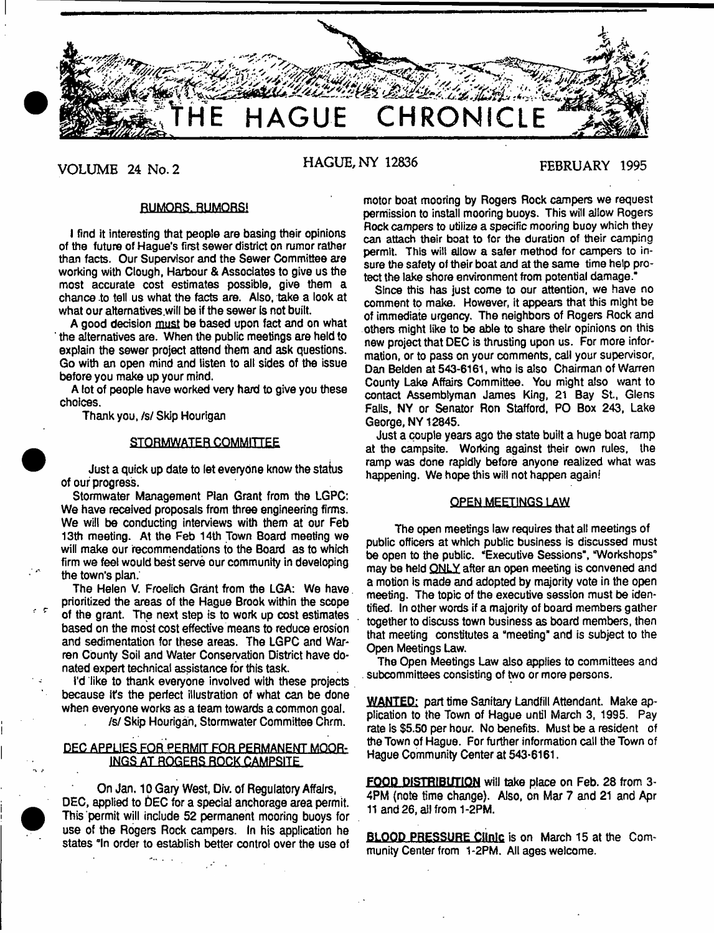

**VOLUME 24 No. 2 HAGUE, NY 12836 FEBRUARY 1995**

# RUMORS. RUMORS!

I find it interesting that people are basing their opinions of the future of Hague's first sewer district on rumor rather than facts. Our Supervisor and the Sewer Committee are working with Clough, Harbour & Associates to give us the most accurate cost estimates possible, give them a chance .to tell us what the facts are. Also, take a look at what our alternatives will be if the sewer is not built.

A good decision must be based upon fact and on what the alternatives are. When the public meetings are held to explain the sewer project attend them and ask questions. Go with an open mind and listen to all sides of the issue before you make up your mind.

A lot of people have worked very hard to give you these choices.

Thank you, /s/ Skip Hourigan

# STQRMWATER COMMITTEE

Just a quick up date to let everyone know the status of our progress.

Stormwater Management Plan Grant from the LGPC: We have received proposals from three engineering firms. We will be conducting interviews with them at our Feb 13th meeting. At the Feb 14th Town Board meeting we will make our recommendations to the Board as to which firm we feel would best serve our community in developing the town's plan;

The Helen V. Froelich Grant from the LGA: We have prioritized the areas of the Hague Brook within the scope of the grant. The next step is to work up cost estimates based on the most cost effective means to reduce erosion and sedimentation for these areas. The LGPC and Warren County Soil and Water Conservation District have donated expert technical assistance for this task.

i'd like to thank everyone involved with these projects because it's the perfect illustration of what can be done when everyone works as a team towards a common goal.

/s/ Skip Hourigan, Stormwater Committee Chrm.

# DEC APPLIES FOR PERMIT FOR PERMANENT MOOR-INGS AT ROGERS ROCK CAMPSITE

On Jan, 10 Gary West, Div. of Regulatory Affairs, DEC, applied to bEC for a special anchorage area permit. This permit will include 52 permanent mooring buoys for use of the Rogers Rock campers. In his application he states "In order to establish better control over the use of

motor boat mooring by Rogers Rock campers we request permission to install mooring buoys. This will allow Rogers Rock campers to utilize a specific mooring buoy which they can attach their boat to for the duration of their camping permit. This will allow a safer method for campers to insure the safety of their boat and at the same time help protect the lake shore environment from potential damage."

Since this has just come to our attention, we have no comment to make. However, it appears that this might be of immediate urgency. The neighbors of Rogers Rock and others might like to be able to share their opinions on this new project that DEC is thrusting upon us. For more information, or to pass on your comments, call your supervisor, Dan Betden at 543-6161, who is also Chairman of Warren County Lake Affairs Committee. You might also want to contact Assemblyman James King, 21 Bay St., Glens Falls, NY or Senator Ron Stafford, PO Box 243, Lake George, NY 12845.

Just a couple years ago the state built a huge boat ramp at the campsite. Working against their own rules, the ramp was done rapidly before anyone realized what was happening. We hope this will not happen again!

## OPEN MEETINGS LAW

The open meetings law requires that all meetings of public officers at which public business is discussed must be open to the public. "Executive Sessions", "Workshops" may be held ONLY after an open meeting is convened and a motion is made and adopted by majority vote in the open meeting. The topic of the executive session must be identified. In other words if a majority of board members gather together to discuss town business as board members, then that meeting constitutes a "meeting" and is subject to the Open Meetings Law.

The Open Meetings Law also applies to committees and . subcommittees consisting of two or more persons.

WANTED: part time Sanitary Landfill Attendant. Make application to the Town of Hague until March 3, 1995. Pay rate is \$5.50 per hour. No benefits. Must be a resident of the Town of Hague. For further information call the Town of Hague Community Center at 543-6161.

FOOD DISTRIBUTION will take place on Feb. 28 from 3- 4PM (note time change). Also, on Mar 7 and 21 and Apr 11 and 26, all from 1-2PM.

BLOOD PRESSURE **Clinic** is on March 15 at the Community Center from 1-2PM. All ages welcome.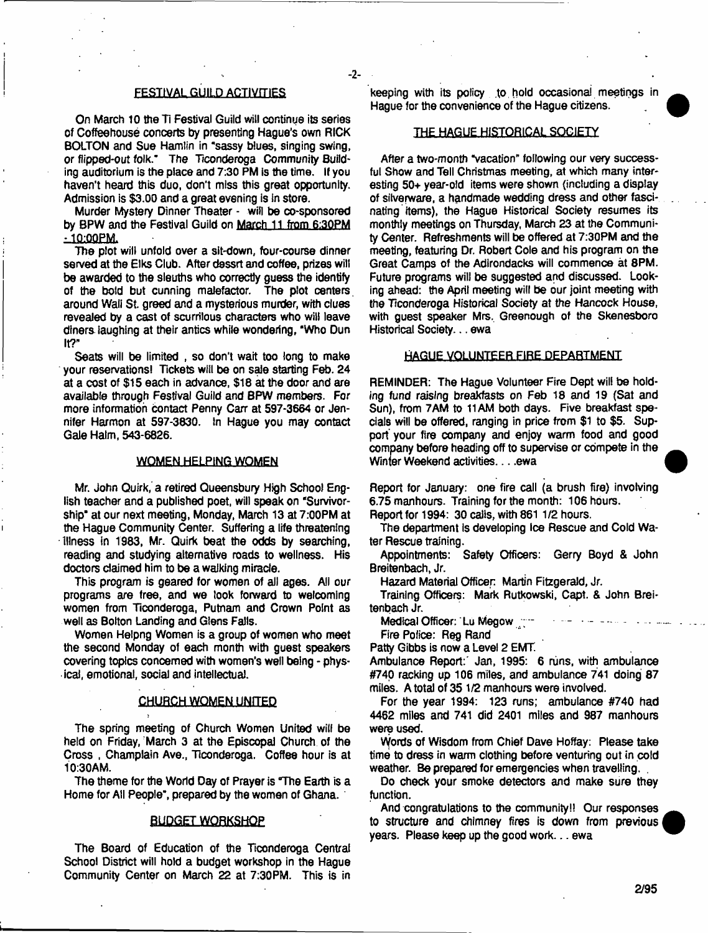# FEST1VAL GUILD ACTIVITIES

**-2-**

On March 10 the Ti Festival Guild will continue its series of Coffeehouse concerts by presenting Hague's own RICK BOLTON and Sue Hamlin in "sassy blues, singing swing, or flipped-out folk." The Ticonderoga Community Building auditorium is the place and 7:30 PM Is the time. If you haven't heard this duo, don't miss this great opportunity. Admission is \$3.00 and a great evening is in store.

Murder Mystery Dinner Theater - will be co-sponsored by BPW and the Festival Guild on March 11 from 6:30PM  $-10:00PM$ 

The plot will unfold over a sit-down, four-course dinner served at the Elks Club. After dessrt and coffee, prizes will be awarded to the sleuths who correctly guess the identify of the bold but cunning malefactor. The plot centers, around Wall St. greed and a mysterious murder, with clues revealed by a cast of scurrilous characters who will leave diners laughing at their antics while wondering, "Who Dun It?"

Seats will be limited , so don't wait too long to make your reservations! Tickets will be on sale starting Feb. 24 at a cost of \$15 each in advance, \$16 at the door and are available through Festival Guild and BPW members. For more information Contact Penny Carr at 597-3664 or Jennifer Harmon at 597-3830. In Hague you may contact Gale Halm, 543-6826.

## **WOMEN HELPING WOMEN**

Mr. John Quirk, a retired Queensbury High School English teacher and a published poet, will speak on "Survivorship" at our next meeting, Monday, March 13 at 7:00PM at the Hague Community Center. Suffering a life threatening -Illness in 1983, Mr. Quirk beat the odds by searching, reading and studying alternative roads to wellness. His doctors claimed him to be a walking miracle.

This program is geared for women of aii ages. All our programs are free, and we look forward to welcoming women from Ticonderoga, Putnam and Crown Point as well as Bolton Landing and Glens Falls.

Women Helpng Women is a group of women who meet the second Monday of each month with guest speakers covering topics concerned with women's well being - physical, emotional, social and intellectual.

## **CHUflCH WOMEN UNITED**

The spring meeting of Church Women United will be held on Friday, March 3 at the Episcopal Church of the Cross , Champlain Ave., Ticonderoga. Coffee hour is at 10:30AM.

The theme for the World Day of Prayer is The Earth is a Home for Ail People", prepared by the women of Ghana.

#### **BUDGET WORKSHOP**

The Board of Education of the Ticonderoga Central School District will hold a budget workshop in the Hague Community Center on March 22 at 7:30PM. This is in keeping with its policy .to, hold occasional meetings in Hague for the convenience of the Hague citizens.

#### THE HAGUE HISTORICAL SOCIETY

After a two-month "vacation" following our very successful Show and Tell Christmas meeting, at which many interesting 50+ year-old items were shown (including a display of silverware, a handmade wedding dress and other fascinating items), the Hague Historical Society resumes its monthly meetings on Thursday, March 23 at the Community Center. Refreshments will be offered at 7:30PM and the meeting, featuring Dr. Robert Cole and his program on the Great Camps of the Adirondacks will commence at 8PM. Future programs will be suggested and discussed. Looking ahead: the April meeting will be our joint meeting with the Ticonderoga Historical Society at the Hancock House, with guest speaker Mrs. Greenough of the Skenesboro Historical Society... ewa

## HAGUE VOLUNTEER FIRE DEPARTMENT

REMINDER: The Hague Volunteer Fire Dept will be holding fund raising breakfasts *on Feb* 18 and 19 (Sat and Sun), from 7AM to 11AM both days. Five breakfast specials will be offered, ranging in price from \$1 to \$5. Support your fire company and enjoy warm food and good company before heading off to supervise or compete in the Winter Weekend activities. . . . ewa

Report for January: one fire call (a brush fire) involving 6.75 manhours. Training for the month: 106 hours.

Report for 1994: 30 calls, with 861 1/2 hours.

The department is developing Ice Rescue and Cold Water Rescue training.

Appointments: Safety Officers: Gerry Boyd & John Breitenbach, Jr.

Hazard Material Officer Martin Fitzgerald, Jr.

Training Officers: Mark Rutkowski, Capt. & John Breitenbach Jr.

Medical Officer: Lu Megow

Fire Police: Reg Rand

Patty Gibbs is now a Level 2 EMT.

Ambulance Report: Jan, 1995: 6 runs, with ambulance #740 racking up 106 miles, and ambulance 741 doing 87 miles. A total of 35 1/2 manhours were involved.

For the year 1994: 123 runs; ambulance #740 had 4462 miles and 741 did 2401 miles and 987 manhours were used.

Words of Wisdom from Chief Dave Hoffay: Please take time to dress in warm clothing before venturing out in cold weather. Be prepared for emergencies when travelling.

Do check your smoke detectors and make sure they function.

And congratulations to the community!! Our responses to structure and chimney fires is down from previous years. Please keep up the good work... ewa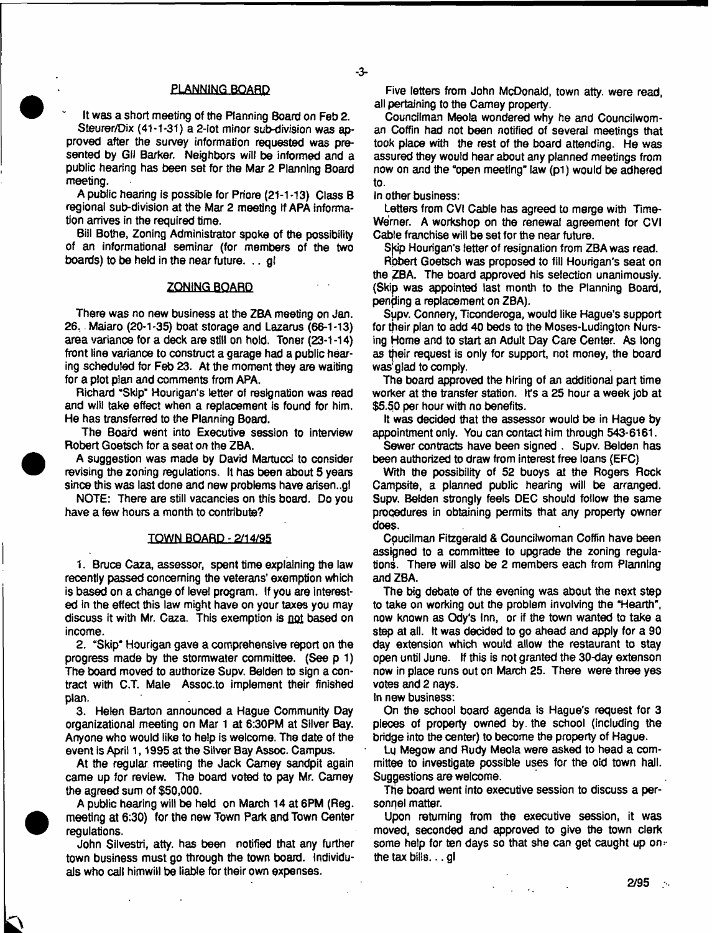#### PLANN1NG BOARD

It was a short meeting of the Planning Board on Feb 2.

Steurer/Dix (41-1-31) a 2-lot minor sub-division was approved after the survey information requested was presented by Gil Barker. Neighbors will be informed and a public hearing has been set for the Mar 2 Planning Board meeting.

A public hearing is possible for Priore (21-1 -13) Class B regional sub-division at the Mar 2 meeting if APA information arrives in the required time.

Bill Bothe, Zoning Administrator spoke of the possibility of an informational seminar (for members of the two boards) to be held in the near future. .. gl

## ZONING BOARD

There was no new business at the ZBA meeting on Jan. 26. Maiaro (20-1-35) boat storage and Lazarus (66-1-13) area variance for a deck are still on hold. Toner (23-1 -14) front line variance to construct a garage had a public hearing scheduled for Feb 23. At the moment they are waiting for a plot plan and comments from APA.

Richard 'Skip" Hourigan's letter of resignation was read and wlii take effect when a replacement is found for him. He has transferred to the Planning Board.

The Board went into Executive session to interview Robert Goetsch for a seat on the ZBA.

A suggestion was made by David Martucci to consider revising the zoning regulations. It has been about 5 years since this was last done and new problems have arisen..gl

NOTE: There are still vacancies on this board. Do you have a few hours a month to contribute?

## TOWN BOARD-2/14/95

1. Bruce Caza, assessor, spent time explaining the law recently passed concerning the veterans' exemption which is based on a change of level program. If you are interested in the effect this law might have on your taxes you may discuss it with Mr. Caza. This exemption is not based on income.

2. "Skip" Hourigan gave a comprehensive report on the progress made by the stormwater committee. (See p 1) The board moved to authorize Supv. Bolden to sign a contract with C.T. Male Assoc.to implement their finished plan.

3. Helen Barton announced a Hague Community Day organizational meeting on Mar 1 at 6:30PM at Silver Bay. Anyone who would like to help is welcome. The date of the event is April 1, 1995 at the Silver Bay Assoc. Campus.

At the regular meeting the Jack Carney sandpit again came up for review. The board voted to pay Mr. Carney the agreed sum of \$50,000.

A public hearing will be held on March 14 at 6PM (Reg. meeting at 6:30) for the new Town Park and Town Center regulations.

John Silvestri, atty. has been notified that any further town business must go through the town board, individuals who call himwill be liable for their own expenses.

Five letters from John McDonald, town atty. were read, all pertaining to the Carney property.

Councilman Meoia wondered why he and Councilwoman Coffin had not been notified of several meetings that took place with the rest of the board attending. He was assured they would hear about any planned meetings from now on and the "open meeting" law (pi) would be adhered to.

In other business:

Letters from CVI Cable has agreed to merge with Time-Wemer. A workshop on the renewal agreement for CVI Cable franchise will be set for the near future.

Skip Hourigan's letter of resignation from ZBA was read.

Robert Goetsch was proposed to fill Hourigan's seat on the ZBA. The board approved his selection unanimously. (Skip was appointed last month to the Planning Board, pending a replacement on ZBA).

Supv. Connery, Ticonderoga, would like Hague's support for their plan to add 40 beds to the Moses-Ludington Nursing Home and to start an Adult Day Care Center. As long as their request is only for support, not money, the board was glad to comply.

The board approved the hiring of an additional part time worker at the transfer station. It's a 25 hour a week job at \$5.50 per hour with no benefits.

It was decided that the assessor would be in Hague by appointment only. You can contact him through 543-6161.

Sewer contracts have been signed . Supv. Belden has been authorized to draw from interest free loans (EFC)

With the possibility of 52 buoys at the Rogers Rock Campsite, a planned public hearing will be arranged. Supv. Belden strongly feels DEC should follow the same procedures in obtaining permits that any property owner does.

Coucilman Fitzgerald & Councilwoman Coffin have been assigned to a committee to upgrade the zoning regulations. There will also be 2 members each from Planning and ZBA.

The big debate of the evening was about the next step to take on working out the problem involving the "Hearth", now known as Ody's Inn, or if the town wanted to take a step at all. ft was decided to go ahead and apply for a 90 day extension which would allow the restaurant to stay open until June, if this is not granted the 30-day extenson now in place runs out on March 25. There were three yes votes and 2 nays.

In new business:

On the school board agenda is Hague's request for 3 pieces of property owned by. the school (including the bridge into the center) to become the property of Hague.

Lg Megow and Rudy Meola were asked to head a committee to investigate possible uses for the old town hail. Suggestions are welcome.

The board went into executive session to discuss a personnel matter.

Upon returning from the executive session, it was moved, seconded and approved to give the town clerk some help for ten days so that she can get caught up on= the tax bills... gl

 $\omega_{\rm{eff}}=0.1$ 

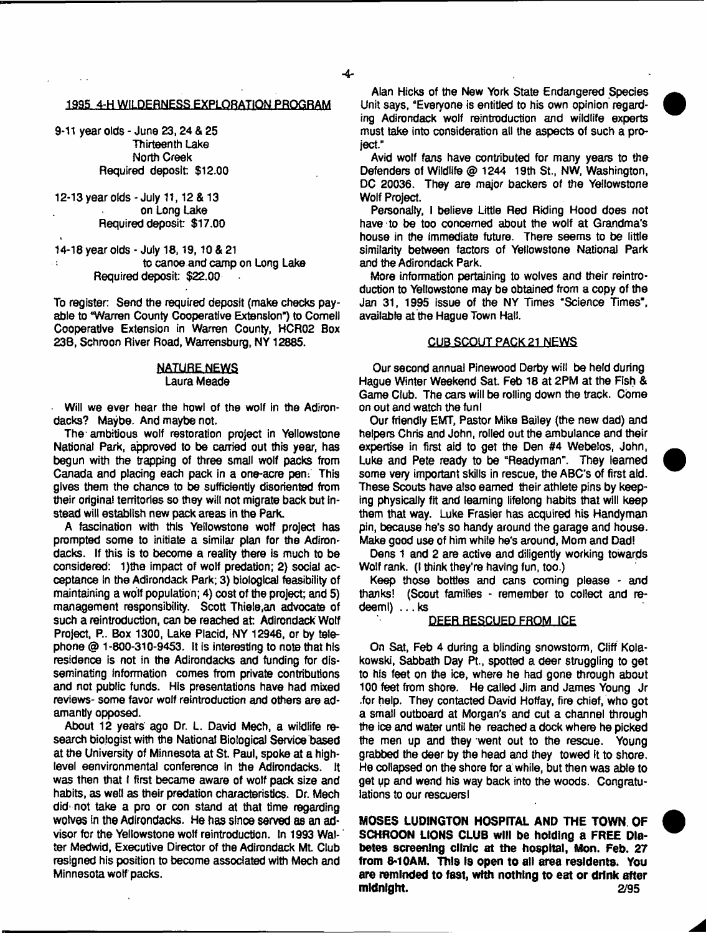## 1995 4-H WILDERNESS EXPLORATION PROGRAM

9-11 year olds - June 23,24 & 25 Thirteenth Lake North Creek Required deposit \$12.00

12-13 year olds - July 11,12 & 13 on Long Lake Required deposit: \$17.00

14-18 year olds - July 18,19,10 & 21 to canoe and camp on Long Lake  $\overline{1}$ Required deposit: \$22.00

To register: Send the required deposit (make checks payable to "Warren County Cooperative Extension") to Cornell Cooperative Extension in Warren County, HCR02 Box 23B, Schroon River Road, Warrensburg, NY 12885.

#### NATURE NEWS Laura Meade

• Will we ever hear the howl of the wolf in the Adirondacks? Maybe. And maybe not.

The-ambitious wolf restoration project in Yellowstone National Park, approved to be carried out this year, has begun with the trapping of three small wolf packs from Canada and placing each pack in a one-acre pen: This gives them the chance to be sufficiently disoriented from their original territories so they will not migrate back but instead will establish new pack areas in the Park.

A fascination with this Yellowstone wolf project has prompted some to initiate a similar plan for the Adirondacks. If this is to become a reality there is much to be considered: 1)the impact of wolf predation; 2) social acceptance in the Adirondack Park; 3) biological feasibility of maintaining a wolf population; 4) cost of the project; and 5) management responsibility. Scott Thiele,an advocate of such a reintroduction, can be reached at: Adirondack Wolf Project, P.. Box 1300, Lake Placid, NY 12946, or by telephone @ 1-800-310-9453. It is interesting to note that his residence is not in the Adirondacks and funding for disseminating information comes from private contributions and not public funds. His presentations have had mixed reviews- some favor wolf reintroduction and others are adamantly opposed.

About 12 years ago Dr. L. David Mech, a wildlife research biologist with the National Biological Service based at the University of Minnesota at St. Paul, spoke at a highlevel eenvironmental conference in the Adirondacks. It was then that I first became aware of wolf pack size and habits, as well as their predation characteristics. Dr. Mech did' not take a pro or con stand at that time regarding wolves In the Adirondacks. He has since served as an advisor for the Yellowstone wolf reintroduction. In 1993 Walter Medwid, Executive Director of the Adirondack ML Club resigned his position to become associated with Mech and Minnesota wolf packs.

Alan Hicks of the New York State Endangered Species Unit says, "Everyone is entitled to his own opinion regarding Adirondack wolf reintroduction and wildlife experts must take into consideration all the aspects of such a project."

Avid wolf fans have contributed for many years to the Defenders of Wildlife @ 1244 19th St., NW, Washington, DC 20036. They are major backers of the Yellowstone Wolf Project.

Personally, i believe Little Red Riding Hood does not have to be too concerned about the wolf at Grandma's house in the immediate future. There seems to be little similarity between factors of Yellowstone National Park and the Adirondack Park.

More information pertaining to wolves and their reintroduction to Yellowstone may be obtained from a copy of the Jan 31, 1995 issue of the NY Times "Science Times", available at the Hague Town Hall.

# CUB SCOUT PACK 21 NEWS

Our second annual Pinewood Derby will be held during Hague Winter Weekend Sat. Feb 18 at 2PM at the Fish & Game Club. The cars will be rolling down the track. Come on out and watch the fun!

Our friendly EMT, Pastor Mike Bailey (the new dad) and helpers Chris and John, rolled out the ambulance and their expertise in first aid to get the Den #4 Webelos, John, Luke and Pete ready to be "Readyman". They learned some very important skills in rescue, the ABC's of first aid. These Scouts have also earned their athlete pins by keeping physically fit and learning lifelong habits that will keep them that way. Luke Frasier has acquired his Handyman pin, because he's so handy around the garage and house. Make good use of him while he's around, Mom and Dad!

Dens 1 and 2 are active and diligently working towards Wolf rank. (I think they're having fun, too.)

Keep those botties and cans coming please - and thanks! (Scout families - remember to collect and redeem!) ... ks

## **DEER.RESCUED FRQM ICE**

On Sat, Feb 4 during a blinding snowstorm, Cliff Kolakowski, Sabbath Day Pt., spotted a deer struggling to get to his feet on the ice, where he had gone through about 100 feet from shore. He called Jim and James Young Jr .for help. They contacted David Hoffay, fire chief, who got a small outboard at Morgan's and cut a channel through the ice and water until he reached a dock where he picked the men up and they went out to the rescue. Young grabbed the deer by the head and they towed It to shore. He collapsed on the shore for a while, but then was able to get up and wend his way back into the woods. Congratulations to our rescuers)

**MOSES LUDINGTON HOSPITAL AND THE TOWN OF SCHROON LIONS CLUB will be holding a FREE Diabetes screening clinic at the hospital, Mon. Feb. 27 from 8-10AM, This Is open to all area residents. You are reminded to fast,** wtth **nothing to eat or drink after midnight. 2/95**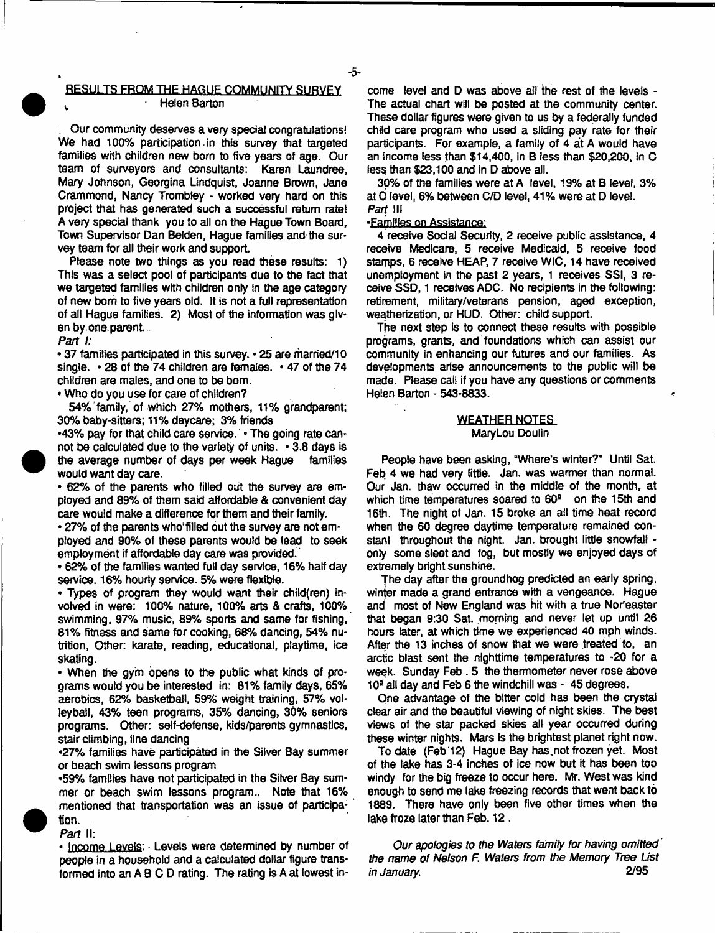#### RESULTS FROM THE HAGUE COMMUNITY SURVEY Helen Barton

. Our community deserves a very special congratulations! We had 100% participation in this survey that targeted families with children new born to five years of age. Our team of surveyors and consultants: Karen Laundree, Mary Johnson, Georgina Lindquist, Joanne Brown, Jane Crammond, Nancy Trombley - worked very hard on this project that has generated such a successful return rate! A very special thank you to all on the Hague Town Board, Town Supervisor Dan Belden, Hague families and the survey team for all their work and support.

Please note two things as you read these results: 1) This was a select pool of participants due to the fact that we targeted families with children only in the age category of new bom to five years old. It is not a full representation of all Hague families. 2) Most of the information was given by.one. parent..

*Part I:*

• 37 families participated in this survey. - 25 are married/10 single. • 28 of the 74 children are females. • 47 of the 74 children are males, and one to be born.

• Who do you use for care of children?

54% family, of which 27% mothers, 11% grandparent: 30% baby-sitters: 11% daycare; 3% friends

•43% pay for that child care service. • The going rate cannot be calculated due to the variety of units. • 3.8 days is the average number of days per week Hague families would want day care.

• 62% of the parents who filled out the survey are employed and 89% of them said affordable & convenient day care would make a difference for them and their family.

• 27% of the parents who;filled out the survey are not employed and 90% of these parents would be lead to seek employment if affordable day care was provided.

• 62% of the families wanted full day service, 16% halfday service. 16% hourly service. 5% were flexible.

• Types of program they would want their child(ren) involved in were: 100% nature, 100% arts & crafts, 100% swimming, 97% music, 89% sports and same for fishing, 81% fitness and same for cooking, 68% dancing, 54% nutrition, Other: karate, reading, educational, playtime, ice skating.

• When the gym opens to the public what kinds of programs would you be interested in: 81% family days, 65% aerobics, 62% basketball, 59% weight training, 57% volleyball, 43% teen programs, 35% dancing, 30% seniors programs. Other: self-defense, kids/parents gymnastics, stair climbing, line dancing

•27% families have participated in the Silver Bay summer or beach swim lessons program

•59% families have not participated in the Silver Bay summer or beach swim lessons program.. Note that 16% mentioned that transportation was an issue of participation.

*Part* II: • **Income** Levels: ■ Levels were determined by number of people in a household and a calculated dollar figure transformed into an A B C D rating. The rating is A at lowest in

come level and D was above ail the rest of the levels - The actual chart will be posted at the community center. These dollar figures were given to us by a federally funded child care program who used a sliding pay rate for their participants. For example, a family of 4 at A would have an income less than \$14,400, in B iess than \$20,200, in C less than \$23,100 and in D above all.

30% of the families were at A level, 19% at B level, 3% at 0 level, 6% between C/D level, 41% were at D level. *Part* III

•Families on Assistance:

4 receive Social Security, 2 receive public assistance, 4 receive Medicare, 5 receive Medicaid, 5 receive food stamps, 6 receive HEAP, 7 receive WIC, 14 have received unemployment in the past 2 years, 1 receives SSI, 3 receive SSD, 1 receives ADC. No recipients in the following: retirement, military/veterans pension, aged exception, weqtherization, or HUD. Other: child support.

The next step is to connect these results with possible programs, grants, and foundations which can assist our community in enhancing our futures and our families. As developments arise announcements to the public will be made. Please call if you have any questions or comments Helen Barton - 543-8833.

## WEATHER NOTES MaryLou Doulin

People have been asking, "Where's winter?" Until Sat. Feb 4 we had very little. Jan. was warmer than normal. Our Jan. thaw occurred in the middle of the month, at which time temperatures soared to 60<sup>°</sup> on the 15th and 16th. The night of Jan. 15 broke an all time heat record when the 60 degree daytime temperature remained constant throughout the night. Jan. brought little snowfall only some sleet and fog, but mostly we enjoyed days of extremely bright sunshine.

The day after the groundhog predicted an early spring, winter made a grand entrance with a vengeance. Hague and most of New England was hit with a true Nor'easter that began 9:30 Sat. morning and never let up until 26 hours later, at which time we experienced 40 mph winds. After the 13 inches of snow that we were treated to, an arctic blast sent the nighttime temperatures to -20 for a week. Sunday Feb. 5 the thermometer never rose above 10° all day and Feb 6 the windchill was - 45 degrees.

One advantage of the bitter cold has been the crystal clear air and the beautiful viewing of night skies. The best views of the star packed skies all year occurred during these winter nights. Mars is the brightest planet right now.

To date (Feb 12) Hague Bay has,not frozen yet. Most of the take has 3-4 inches of ice now but it has been too windy for the big freeze to occur here. Mr. West was kind enough to send me lake freezing records that went back to 1889. There have only been five other times when the lake froze later than Feb. 12.

*Our apologies to the Waters family for having omitted the name of Nelson F. Waters from the Memory Tree List in January.* 2/95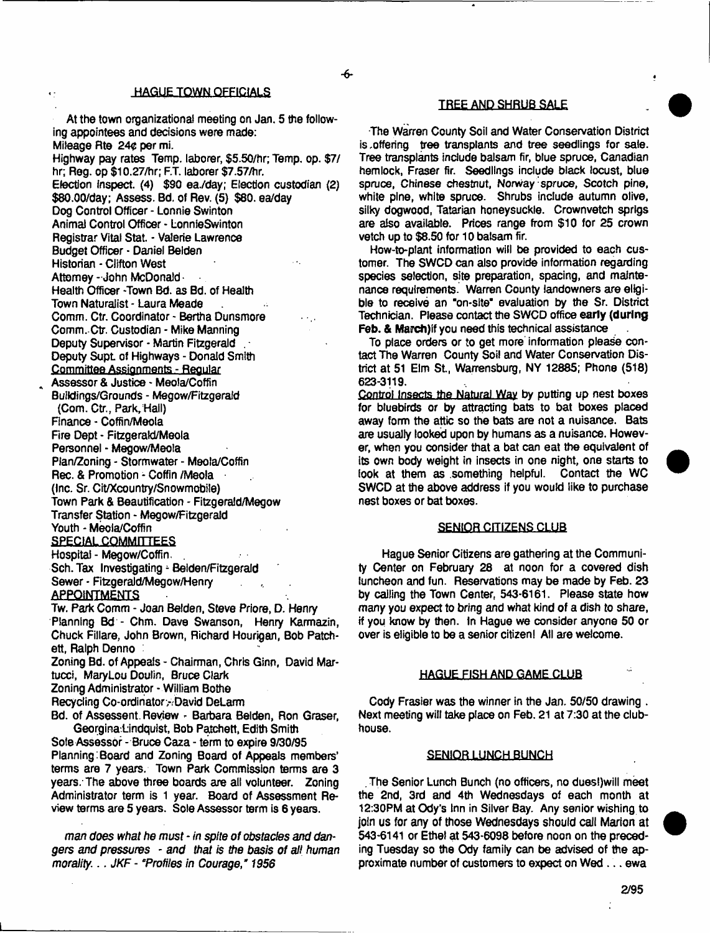**-6-**

**HAGUE TOWN OFFICIALS** 

At the town organizational meeting on Jan. 5 the following appointees and decisions were made: Mileage Rte 24¢ per mi. Highway pay rates Temp, laborer, \$5.50/hr; Temp. op. \$7/ hr; Reg. op \$10.27/hr; F.T. laborer \$7.57/hr. Election inspect. (4) \$30 ea./day; Election custodian (2)

\$80.00/day; Assess. Bd. of Rev. (5) \$80. ea/day Dog Control Officer - Lonnie Swinton Animal Control Officer - LonnieSwinton Registrar Vital Stat. - Valerie Lawrence Budget Officer - Daniel Belden Historian - Clifton West Attorney - John McDonald Health Officer -Town Bd. as Bd. of Health Town Naturalist - Laura Meade Comm. Ctr. Coordinator - Bertha Dunsmore Comm.-Ctr. Custodian - Mike Manning Deputy Supervisor - Martin Fitzgerald

Deputy Supt of Highways - Donald Smith Committee Assignments - Regular Assessor & Justice - Meola/Coffin

Buildings/Grounds - Megow/Fitzgeraid (Com. Ctr., Park, Hall) Finance - Coffin/Meola Fire Dept - Fitzgeraki/Meola Personnel - Megow/Meola Plan/Zoning - Stormwater - Meola/Coffin Rec. & Promotion - Coffin /Meola (Inc. Sr. Cit/Xcountry/Snowmcbi!e) Town Park & Beautification - Fitzgerald/Megow Transfer Station - Megow/Fitzgerald Youth - Meola/Coffin **SPECIAL COMMITTEES** Hospital - Megow/Coffin.

Sch. Tax Investigating - Belden/Fitzgerald Sewer - Fitzgerald/Megow/Henry

# **APPOINTMENTS**

Tw. Park Comm - Joan Belden, Steve Priore, D. Henry Planning Bd - Chm. Dave Swanson, Henry Karmazin, Chuck Fillare, John Brown, Richard Hourigan, Bob Patchett, Ralph Denno

Zoning Bd. of Appeals - Chairman, Chris Ginn, David Martucci, MaryLou Doulin, Bruce Clark

Zoning Administrator - William Bothe

Recycling Co-ordinator,-David DeLarm

Bd. of Assessent. Review - Barbara Belden, Ron Graser, Georgina.Lindquist, Bob Patchett, Edith Smith

Sole Assessor - Bruce Caza - term to expire 9/30/95 Planning:Board and Zoning Board of Appeals members' terms are 7 years. Town Park Commission terms are 3 years. The above three boards are all volunteer. Zoning Administrator term is 1 year. Board of Assessment Review terms are 5 years. Sole Assessor term is 6 years.

*man does what he must* - *in spite of obstacles and dangers and pressures* - *and that is the basis of all human morality*: . . *JKF* - *\*Profiles in Courage," 1956*

# TREE AND SHRUB SALE

The Warren County Soil and Water Conservation District is .offering tree transplants and tree seedlings for sale. Tree transplants include balsam fir, blue spruce, Canadian hemlock, Fraser fir. Seedlings include black locust, blue spruce, Chinese chestnut, Norway spruce, Scotch pine, white pine, white spruce. Shrubs include autumn olive, silky dogwood, Tatarian honeysuckle. Crownvetch sprigs are also available. Prices range from \$10 for 25 crown vetch up to \$8.50 for 10 balsam fir.

How-to-plant information will be provided to each customer. The SWCD can also provide information regarding species selection, site preparation, spacing, and maintenance requirements. Warren County landowners are eligible to receive an "on-site" evaluation by the Sr. District Technician. Please contact the SWCD office early (during Feb. & March) if you need this technical assistance

To place orders or to get more information please contact The Warren County Soi! and Water Conservation District at 51 Elm St., Warrensburg, NY 12885; Phone (518) 623-3119.

Control Insects the Natural Way by putting up nest boxes for bluebirds or by attracting bats to bat boxes placed away form the attic so the bats are not a nuisance. Bats are usually looked upon by humans as a nuisance. However, when you consider that a bat can eat the equivalent of its own body weight in insects in one night, one starts to look at them as .something helpful. Contact the WC SWCD at the above address if you would like to purchase nest boxes or bat boxes.

## **SENIOR CITIZENS-CLUB**

Hague Senior Citizens are gathering at the Community Center on February 28 at noon for a covered dish luncheon and fun. Reservations may be made by Feb. 23 by calling the Town Center, 543-6161. Please state how many you expect to bring and what kind of a dish to share, if you know by then. In Hague we consider anyone 50 or over is eligible to be a senior citizen! All are welcome.

#### HAGUE FISH AND GAME CLUB

Cody Frasier was the winner in the Jan. 50/50 drawing . Next meeting will take place on Feb. 21 at 7:30 at the clubhouse.

#### **SENIOR LUNCH BUNCH**

. The Senior Lunch Bunch (no officers, no dues!)will meet the 2nd, 3rd and 4th Wednesdays of each month at 12:30PM at Ody's Inn in Silver Bay. Any senior wishing to join us for any of those Wednesdays should call Marion at 543-6141 or Ethel at 543-6098 before noon on the preceding Tuesday so the Ody family can be advised of the approximate number of customers to expect on Wed ... ewa

÷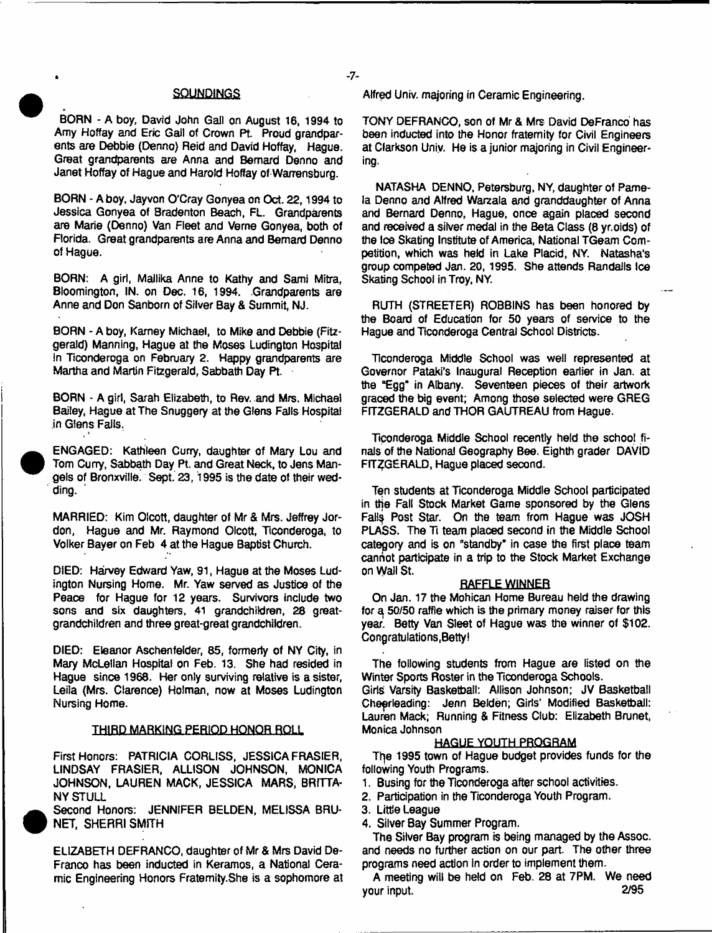#### **SQUNDINGS**

BORN - A boy, David John Gall on August 16, 1994 to Amy Hoffay and Eric Gail of Crown Pt. Proud grandparents are Debbie (Denno) Reid and David Hoffay, Hague. Great grandparents are Anna and Bernard Denno and Janet Hoffay of Hague and Harold Hoffay of Warrensburg.

BORN - A boy, Jayvon O'Cray Gonyea on Oct. 22,1994 to Jessica Gonyea of Bradenton Beach, FL. Grandparents are Marie (Denno) Van Fleet and Verne Gonyea, both of Florida. Great grandparents are Anna and Bernard Denno of Hague.

BORN: A girl, Mallika Anne to Kathy and Sami Mitra, Bloomington, IN. on Dec. 16, 1994. Grandparents are Anne and Don Sanborn of Silver Bay & Summit, NJ.

BORN - A boy, Kamey Michael, to Mike and Debbie (Fitzgerald) Manning, Hague at the Moses Ludington Hospital in Ticonderoga on February 2. Happy grandparents are Martha and Martin Fitzgerald, Sabbath Day Pt.

BORN - A girl, Sarah Elizabeth, to Rev. and Mrs. Michael Bailey, Hague at The Snuggery at the Glens Fails Hospital in Glens Fails.

ENGAGED: Kathleen Curry, daughter of Mary Lou and Tom Curry, Sabbath Day Pt. and Great Neck, to Jens Mangels of Bronxvilie. Sept. 23,1995 is the date of their wedding.

MARRIED: Kim Olcott, daughter of Mr & Mrs. Jeffrey Jordon, Hague and Mr. Raymond Olcott, Ticonderoga, to Volker Bayer on Feb 4 at the Hague Baptist Church.

DIED: Harvey Edward Yaw, 91, Hague at the Moses Ludington Nursing Home. Mr. Yaw served as Justice of the Peace for Hague for 12 years. Survivors include two sons and six daughters, 41 grandchildren, 28 greatgrandchildren and three great-great grandchildren.

DIED: Eleanor Aschenfelder, 85, formerly of NY City, in Mary McLellan Hospital on Feb. 13. She had resided in Hague since 1968. Her only surviving relative is a sister, Leila (Mrs. Clarence) Holman, now at Moses Ludington Nursing Home.

#### THIRD MARKING PERIOD HONOR ROLL

First Honors: PATRICIA CORLISS, JESSICA FRASIER, LINDSAY FRASIER, ALLISON JOHNSON, MONICA JOHNSON, LAUREN MACK, JESSICA MARS, BRITTA-NY STULL

Second Honors: JENNIFER BELDEN, MELISSA BRU-NET, SHERRI SMfTH

ELIZABETH DEFRANCO, daughter of Mr & Mrs David De-Franco has been inducted in Keramos, a National Ceramic Engineering Honors Fratemity.She is a sophomore at Alfred Univ. majoring in Ceramic Engineering.

TONY DEFRANCO, son of Mr & Mrs David DeFranco has been inducted into the Honor fraternity for Civil Engineers at Clarkson Univ. He is a junior majoring in Civil Engineering.

NATASHA DENNO, Petersburg, NY, daughter of Pamela Denno and Alfred Warzala and granddaughter of Anna and Bernard Denno, Hague, once again placed second and received a silver medal in the Beta Class (8 yr.oids) of the Ice Skating Institute of America, National TGeam Competition, which was held in Lake Placid, NY. Natasha's group competed Jan. 20, 1995. She attends Randalls Ice Skating School in Troy, NY.

RUTH (STREETER) ROBBINS has been honored by the Board of Education for 50 years of service to the Hague and Ticonderoga Central School Districts.

Ticonderoga Middle School was well represented at Governor Pataki's Inaugural Reception earlier in Jan. at the "Egg" in Albany. Seventeen pieces of their artwork graced the big event; Among those selected were GREG FITZGERALD and THOR GAUTREAU from Hague.

Ticonderoga Middle School recently held the school finals of the National Geography Bee. Eighth grader DAViD FITZGERALD, Hague placed second.

Ten students at Ticonderoga Middle School participated in the Fall Stock Market Game sponsored by the Glens Falls Post Star. On the team from Hague was JOSH PLASS. The Ti team placed second in the Middle School category and is on "standby" in case the first place team cannot participate in a trip to the Stock Market Exchange on Wail St.

## RAFFLE WINNER

On Jan. 17 the Mohican Home Bureau held the drawing for a 50/50 raffle which is the primary money raiser for this year. Betty Van Sleet of Hague was the winner of \$102. Congratulations.Bettyl

The following students from Hague are listed on the Winter Sports Roster in the Ticonderoga Schools. Girls Varsity Basketball: Aliison Johnson; JV Basketball Cheerleading: Jenn Belden; Girls' Modified Basketball: Lauren Mack; Running & Fitness Club: Elizabeth Brunet, Monica Johnson

#### HAGUE YOUTH PROGRAM

The 1995 town of Hague budget provides funds for the following Youth Programs.

- 1. Busing for the Ticonderoga after school activities.
- 2. Participation in the Ticonderoga Youth Program.
- 3. Little League
- 4. Silver Bay Summer Program.

The Silver Bay program is being managed by the Assoc, and needs no further action on our part. The other three programs need action in order to implement them.

A meeting will be held on Feb. 28 at 7PM. We need your input. 2/95